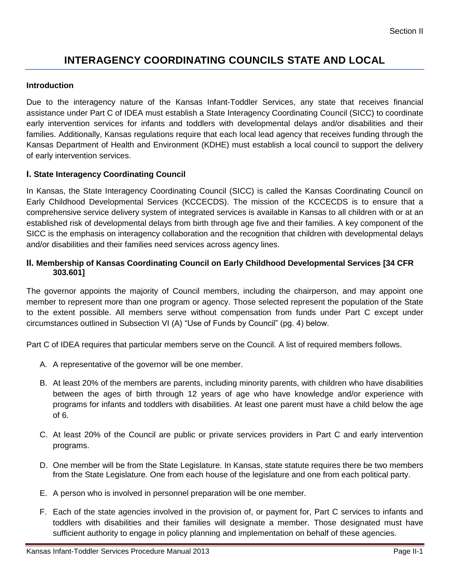# **INTERAGENCY COORDINATING COUNCILS STATE AND LOCAL**

## **Introduction**

Due to the interagency nature of the Kansas Infant-Toddler Services, any state that receives financial assistance under Part C of IDEA must establish a State Interagency Coordinating Council (SICC) to coordinate early intervention services for infants and toddlers with developmental delays and/or disabilities and their families. Additionally, Kansas regulations require that each local lead agency that receives funding through the Kansas Department of Health and Environment (KDHE) must establish a local council to support the delivery of early intervention services.

# **I. State Interagency Coordinating Council**

In Kansas, the State Interagency Coordinating Council (SICC) is called the Kansas Coordinating Council on Early Childhood Developmental Services (KCCECDS). The mission of the KCCECDS is to ensure that a comprehensive service delivery system of integrated services is available in Kansas to all children with or at an established risk of developmental delays from birth through age five and their families. A key component of the SICC is the emphasis on interagency collaboration and the recognition that children with developmental delays and/or disabilities and their families need services across agency lines.

## **II. Membership of Kansas Coordinating Council on Early Childhood Developmental Services [34 CFR 303.601]**

The governor appoints the majority of Council members, including the chairperson, and may appoint one member to represent more than one program or agency. Those selected represent the population of the State to the extent possible. All members serve without compensation from funds under Part C except under circumstances outlined in Subsection VI (A) "Use of Funds by Council" (pg. 4) below.

Part C of IDEA requires that particular members serve on the Council. A list of required members follows.

- A. A representative of the governor will be one member.
- B. At least 20% of the members are parents, including minority parents, with children who have disabilities between the ages of birth through 12 years of age who have knowledge and/or experience with programs for infants and toddlers with disabilities. At least one parent must have a child below the age of 6.
- C. At least 20% of the Council are public or private services providers in Part C and early intervention programs.
- D. One member will be from the State Legislature. In Kansas, state statute requires there be two members from the State Legislature. One from each house of the legislature and one from each political party.
- E. A person who is involved in personnel preparation will be one member.
- F. Each of the state agencies involved in the provision of, or payment for, Part C services to infants and toddlers with disabilities and their families will designate a member. Those designated must have sufficient authority to engage in policy planning and implementation on behalf of these agencies.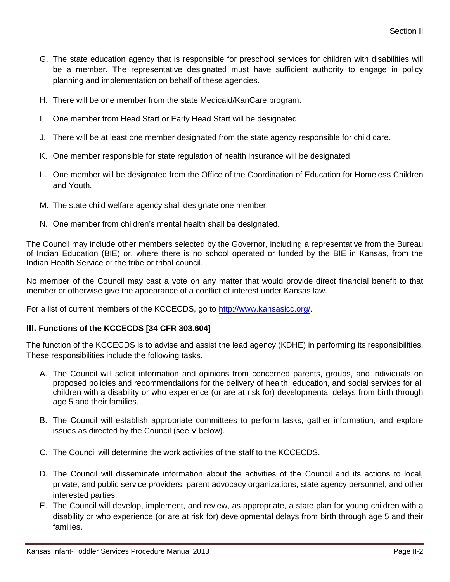- G. The state education agency that is responsible for preschool services for children with disabilities will be a member. The representative designated must have sufficient authority to engage in policy planning and implementation on behalf of these agencies.
- H. There will be one member from the state Medicaid/KanCare program.
- I. One member from Head Start or Early Head Start will be designated.
- J. There will be at least one member designated from the state agency responsible for child care.
- K. One member responsible for state regulation of health insurance will be designated.
- L. One member will be designated from the Office of the Coordination of Education for Homeless Children and Youth.
- M. The state child welfare agency shall designate one member.
- N. One member from children's mental health shall be designated.

The Council may include other members selected by the Governor, including a representative from the Bureau of Indian Education (BIE) or, where there is no school operated or funded by the BIE in Kansas, from the Indian Health Service or the tribe or tribal council.

No member of the Council may cast a vote on any matter that would provide direct financial benefit to that member or otherwise give the appearance of a conflict of interest under Kansas law.

For a list of current members of the KCCECDS, go to [http://www.kansasicc.org/.](http://www.kansasicc.org/)

#### **III. Functions of the KCCECDS [34 CFR 303.604]**

The function of the KCCECDS is to advise and assist the lead agency (KDHE) in performing its responsibilities. These responsibilities include the following tasks.

- A. The Council will solicit information and opinions from concerned parents, groups, and individuals on proposed policies and recommendations for the delivery of health, education, and social services for all children with a disability or who experience (or are at risk for) developmental delays from birth through age 5 and their families.
- B. The Council will establish appropriate committees to perform tasks, gather information, and explore issues as directed by the Council (see V below).
- C. The Council will determine the work activities of the staff to the KCCECDS.
- D. The Council will disseminate information about the activities of the Council and its actions to local, private, and public service providers, parent advocacy organizations, state agency personnel, and other interested parties.
- E. The Council will develop, implement, and review, as appropriate, a state plan for young children with a disability or who experience (or are at risk for) developmental delays from birth through age 5 and their families.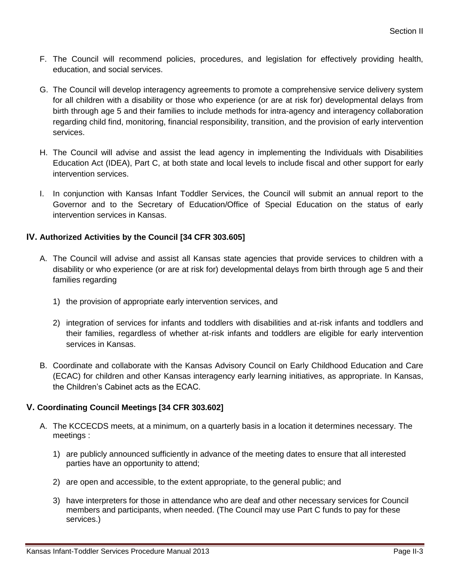- F. The Council will recommend policies, procedures, and legislation for effectively providing health, education, and social services.
- G. The Council will develop interagency agreements to promote a comprehensive service delivery system for all children with a disability or those who experience (or are at risk for) developmental delays from birth through age 5 and their families to include methods for intra-agency and interagency collaboration regarding child find, monitoring, financial responsibility, transition, and the provision of early intervention services.
- H. The Council will advise and assist the lead agency in implementing the Individuals with Disabilities Education Act (IDEA), Part C, at both state and local levels to include fiscal and other support for early intervention services.
- I. In conjunction with Kansas Infant Toddler Services, the Council will submit an annual report to the Governor and to the Secretary of Education/Office of Special Education on the status of early intervention services in Kansas.

# **IV. Authorized Activities by the Council [34 CFR 303.605]**

- A. The Council will advise and assist all Kansas state agencies that provide services to children with a disability or who experience (or are at risk for) developmental delays from birth through age 5 and their families regarding
	- 1) the provision of appropriate early intervention services, and
	- 2) integration of services for infants and toddlers with disabilities and at-risk infants and toddlers and their families, regardless of whether at-risk infants and toddlers are eligible for early intervention services in Kansas.
- B. Coordinate and collaborate with the Kansas Advisory Council on Early Childhood Education and Care (ECAC) for children and other Kansas interagency early learning initiatives, as appropriate. In Kansas, the Children's Cabinet acts as the ECAC.

# **V. Coordinating Council Meetings [34 CFR 303.602]**

- A. The KCCECDS meets, at a minimum, on a quarterly basis in a location it determines necessary. The meetings :
	- 1) are publicly announced sufficiently in advance of the meeting dates to ensure that all interested parties have an opportunity to attend;
	- 2) are open and accessible, to the extent appropriate, to the general public; and
	- 3) have interpreters for those in attendance who are deaf and other necessary services for Council members and participants, when needed. (The Council may use Part C funds to pay for these services.)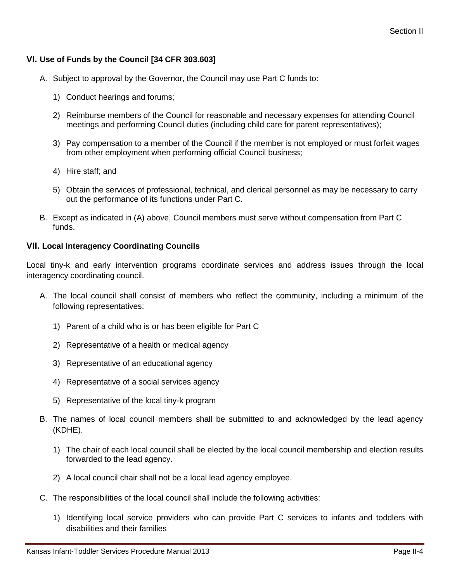# **VI. Use of Funds by the Council [34 CFR 303.603]**

- A. Subject to approval by the Governor, the Council may use Part C funds to:
	- 1) Conduct hearings and forums;
	- 2) Reimburse members of the Council for reasonable and necessary expenses for attending Council meetings and performing Council duties (including child care for parent representatives);
	- 3) Pay compensation to a member of the Council if the member is not employed or must forfeit wages from other employment when performing official Council business;
	- 4) Hire staff; and
	- 5) Obtain the services of professional, technical, and clerical personnel as may be necessary to carry out the performance of its functions under Part C.
- B. Except as indicated in (A) above, Council members must serve without compensation from Part C funds.

## **VII. Local Interagency Coordinating Councils**

Local tiny-k and early intervention programs coordinate services and address issues through the local interagency coordinating council.

- A. The local council shall consist of members who reflect the community, including a minimum of the following representatives:
	- 1) Parent of a child who is or has been eligible for Part C
	- 2) Representative of a health or medical agency
	- 3) Representative of an educational agency
	- 4) Representative of a social services agency
	- 5) Representative of the local tiny-k program
- B. The names of local council members shall be submitted to and acknowledged by the lead agency (KDHE).
	- 1) The chair of each local council shall be elected by the local council membership and election results forwarded to the lead agency.
	- 2) A local council chair shall not be a local lead agency employee.
- C. The responsibilities of the local council shall include the following activities:
	- 1) Identifying local service providers who can provide Part C services to infants and toddlers with disabilities and their families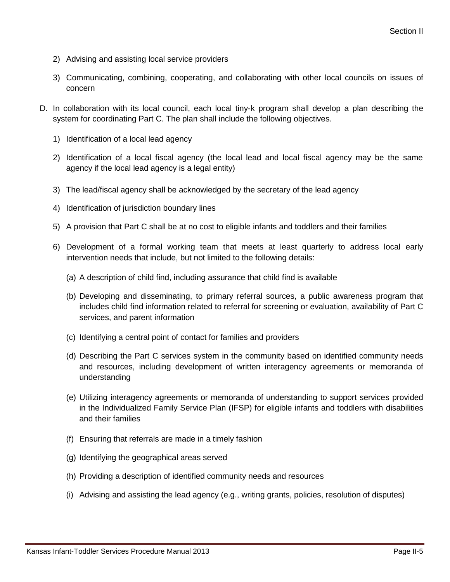- 2) Advising and assisting local service providers
- 3) Communicating, combining, cooperating, and collaborating with other local councils on issues of concern
- D. In collaboration with its local council, each local tiny-k program shall develop a plan describing the system for coordinating Part C. The plan shall include the following objectives.
	- 1) Identification of a local lead agency
	- 2) Identification of a local fiscal agency (the local lead and local fiscal agency may be the same agency if the local lead agency is a legal entity)
	- 3) The lead/fiscal agency shall be acknowledged by the secretary of the lead agency
	- 4) Identification of jurisdiction boundary lines
	- 5) A provision that Part C shall be at no cost to eligible infants and toddlers and their families
	- 6) Development of a formal working team that meets at least quarterly to address local early intervention needs that include, but not limited to the following details:
		- (a) A description of child find, including assurance that child find is available
		- (b) Developing and disseminating, to primary referral sources, a public awareness program that includes child find information related to referral for screening or evaluation, availability of Part C services, and parent information
		- (c) Identifying a central point of contact for families and providers
		- (d) Describing the Part C services system in the community based on identified community needs and resources, including development of written interagency agreements or memoranda of understanding
		- (e) Utilizing interagency agreements or memoranda of understanding to support services provided in the Individualized Family Service Plan (IFSP) for eligible infants and toddlers with disabilities and their families
		- (f) Ensuring that referrals are made in a timely fashion
		- (g) Identifying the geographical areas served
		- (h) Providing a description of identified community needs and resources
		- (i) Advising and assisting the lead agency (e.g., writing grants, policies, resolution of disputes)